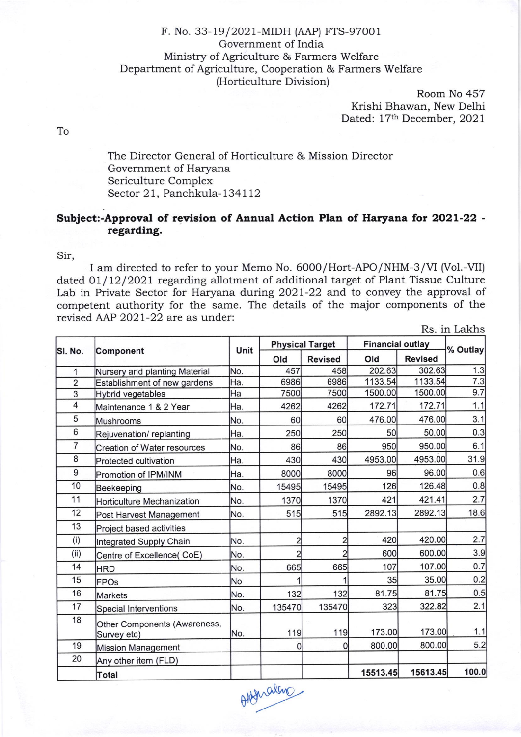## F. No. 33-19/2O2I-MIDH (AAP) rts-97001 Government of India Ministry of Agriculture & Farmers Welfare Department of Agriculture, Cooperation & Farmers Welfare (Horticulture Division)

Room No 457 Krishi Bhawan, New Delhi Dated: 17th December, 2021

To

The Director General of Horticulture & Mission Director Government of Haryana Sericulture Complex Sector 21, Panchkula-134112

## Subject:-Approval of revision of Annual Action Plan of Haryana fot 2O2L-22 regarding.

Sir,

I am directed to refer to your Memo No. 6000/Hort-APO/NHM-3/VI (Vol.-VII) dated 01/ 12/2021 regarding allotment of additional target of Plant Tissue Culture Lab in Private Sector for Haryana during 2O2l-22 and to convey the approval of competent authority for the same. The details of the major components of the revised AAP 2O2l-22 are as under:

Rs. in Lakhs

|                |                                             | Unit |                | <b>Physical Target</b> | <b>Financial outlay</b> |                | % Outlay |
|----------------|---------------------------------------------|------|----------------|------------------------|-------------------------|----------------|----------|
| SI. No.        | <b>Component</b>                            |      | Old            | <b>Revised</b>         | Old                     | <b>Revised</b> |          |
| 1              | Nursery and planting Material               | No.  | 457            | 458                    | 202.63                  | 302.63         | 1.3      |
| $\overline{2}$ | Establishment of new gardens                | Ha.  | 6986           | 6986                   | 1133.54                 | 1133.54        | 7.3      |
| 3              | <b>Hybrid vegetables</b>                    | Ha   | 7500           | 7500                   | 1500.00                 | 1500.00        | 9.7      |
| 4              | Maintenance 1 & 2 Year                      | Ha.  | 4262           | 4262                   | 172.71                  | 172.71         | 1.1      |
| 5              | Mushrooms                                   | No.  | 60             | 60                     | 476.00                  | 476.00         | 3.1      |
| 6              | Rejuvenation/replanting                     | Ha.  | 250            | 250                    | 50                      | 50.00          | 0.3      |
| 7              | <b>Creation of Water resources</b>          | No.  | 86             | 86                     | 950                     | 950.00         | 6.1      |
| 8              | Protected cultivation                       | Ha.  | 430            | 430                    | 4953.00                 | 4953.00        | 31.9     |
| 9              | Promotion of IPM/INM                        | Ha.  | 8000           | 8000                   | 96                      | 96.00          | 0.6      |
| 10             | Beekeeping                                  | No.  | 15495          | 15495                  | 126                     | 126.48         | 0.8      |
| 11             | <b>Horticulture Mechanization</b>           | No.  | 1370           | 1370                   | 421                     | 421.41         | 2.7      |
| 12             | Post Harvest Management                     | No.  | 515            | 515                    | 2892.13                 | 2892.13        | 18.6     |
| 13             | Project based activities                    |      |                |                        |                         |                |          |
| (i)            | Integrated Supply Chain                     | No.  | $\overline{2}$ | $\overline{c}$         | 420                     | 420.00         | 2.7      |
| (iii)          | Centre of Excellence(CoE)                   | No.  | $\overline{2}$ | $\overline{2}$         | 600                     | 600.00         | 3.9      |
| 14             | <b>HRD</b>                                  | No.  | 665            | 665                    | 107                     | 107.00         | 0.7      |
| 15             | <b>FPOs</b>                                 | No   |                |                        | 35                      | 35.00          | 0.2      |
| 16             | <b>Markets</b>                              | No.  | 132            | 132                    | 81.75                   | 81.75          | 0.5      |
| 17             | <b>Special Interventions</b>                | No.  | 135470         | 135470                 | 323                     | 322.82         | 2.1      |
| 18             | Other Components (Awareness,<br>Survey etc) | No.  | 119            | 119                    | 173.00                  | 173.00         | 1.1      |
| 19             | <b>Mission Management</b>                   |      | 0              | 0                      | 800.00                  | 800.00         | 5.2      |
| 20             | Any other item (FLD)                        |      |                |                        |                         |                |          |
|                | <b>Total</b>                                |      |                |                        | 15513.45                | 15613.45       | 100.0    |

order den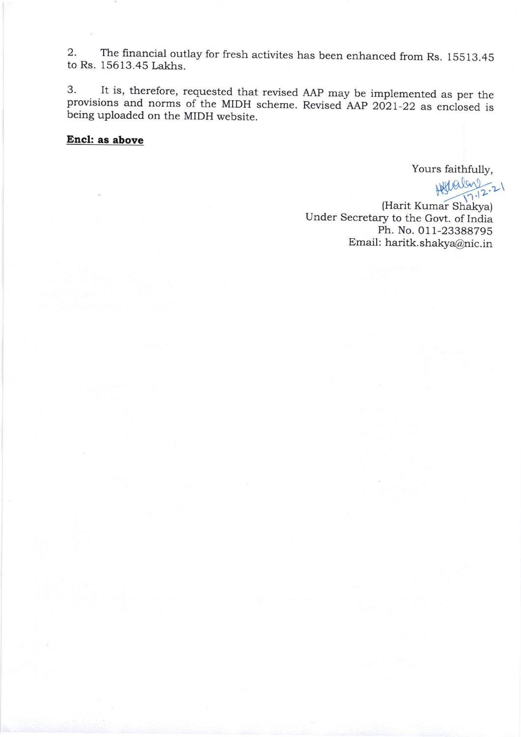2. The financial outlay for fresh activites has been enhanced from Rs. 15513.45 to Rs. 15613.45 Lakhs.

3' It is, therefore, requested that revised AAp may be implemented as per the provisions and norms of the MIDH scheme. Revised AAp 2d21-22 as enclosed is being uploaded on the MIDH website.

## Encl: as above

Yours faithfully,

 $H \times 12.21$ 

(Harit Kumar Shakya) Under Secretary to the Govt. of India Ph. No.0l1-23388795 Email: haritk.shakya@nic.in